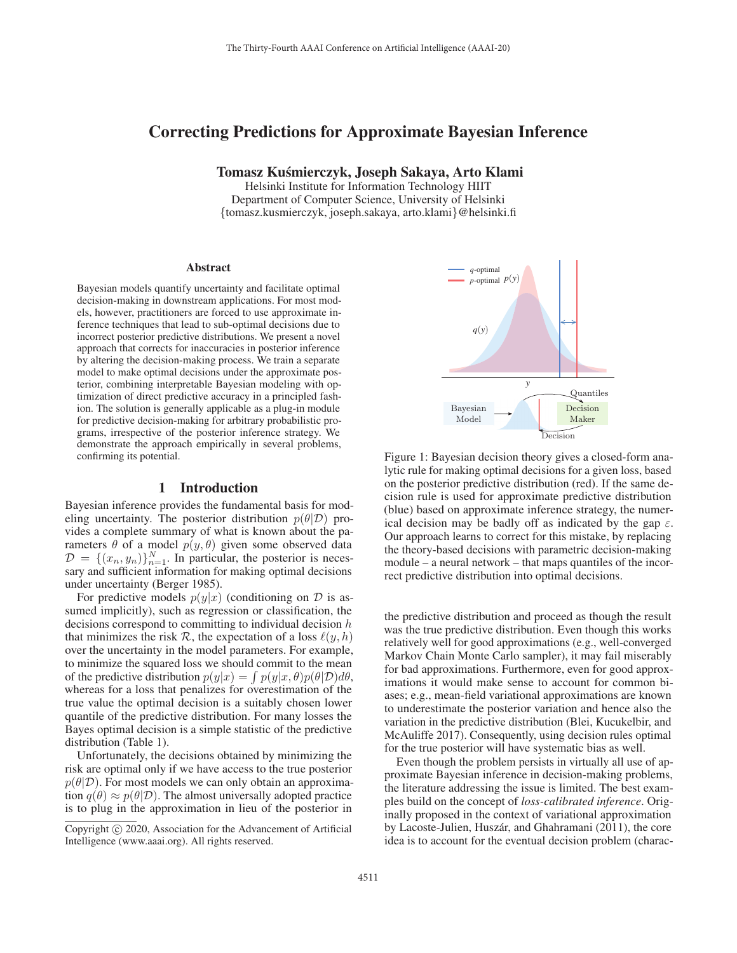# Correcting Predictions for Approximate Bayesian Inference

Tomasz Kusmierczyk, Joseph Sakaya, Arto Klami ´

Helsinki Institute for Information Technology HIIT Department of Computer Science, University of Helsinki {tomasz.kusmierczyk, joseph.sakaya, arto.klami}@helsinki.fi

#### **Abstract**

Bayesian models quantify uncertainty and facilitate optimal decision-making in downstream applications. For most models, however, practitioners are forced to use approximate inference techniques that lead to sub-optimal decisions due to incorrect posterior predictive distributions. We present a novel approach that corrects for inaccuracies in posterior inference by altering the decision-making process. We train a separate model to make optimal decisions under the approximate posterior, combining interpretable Bayesian modeling with optimization of direct predictive accuracy in a principled fashion. The solution is generally applicable as a plug-in module for predictive decision-making for arbitrary probabilistic programs, irrespective of the posterior inference strategy. We demonstrate the approach empirically in several problems, confirming its potential.

## 1 Introduction

Bayesian inference provides the fundamental basis for modeling uncertainty. The posterior distribution  $p(\theta|\mathcal{D})$  provides a complete summary of what is known about the parameters  $\theta$  of a model  $p(y, \theta)$  given some observed data  $\mathcal{D} = \{(x_n, y_n)\}_{n=1}^N$ . In particular, the posterior is necessary and sufficient information for making optimal decisions sary and sufficient information for making optimal decisions under uncertainty (Berger 1985).

For predictive models  $p(y|x)$  (conditioning on  $D$  is assumed implicitly), such as regression or classification, the decisions correspond to committing to individual decision  $h$ that minimizes the risk R, the expectation of a loss  $\ell(y, h)$ over the uncertainty in the model parameters. For example, to minimize the squared loss we should commit to the mean of the predictive distribution  $p(y|x) = \int p(y|x, \theta)p(\theta|\mathcal{D})d\theta$ , whereas for a loss that penalizes for overestimation of the true value the optimal decision is a suitably chosen lower quantile of the predictive distribution. For many losses the Bayes optimal decision is a simple statistic of the predictive distribution (Table 1).

Unfortunately, the decisions obtained by minimizing the risk are optimal only if we have access to the true posterior  $p(\theta|\mathcal{D})$ . For most models we can only obtain an approximation  $q(\theta) \approx p(\theta|\mathcal{D})$ . The almost universally adopted practice is to plug in the approximation in lieu of the posterior in





Figure 1: Bayesian decision theory gives a closed-form analytic rule for making optimal decisions for a given loss, based on the posterior predictive distribution (red). If the same decision rule is used for approximate predictive distribution (blue) based on approximate inference strategy, the numerical decision may be badly off as indicated by the gap  $\varepsilon$ . Our approach learns to correct for this mistake, by replacing the theory-based decisions with parametric decision-making module – a neural network – that maps quantiles of the incorrect predictive distribution into optimal decisions.

the predictive distribution and proceed as though the result was the true predictive distribution. Even though this works relatively well for good approximations (e.g., well-converged Markov Chain Monte Carlo sampler), it may fail miserably for bad approximations. Furthermore, even for good approximations it would make sense to account for common biases; e.g., mean-field variational approximations are known to underestimate the posterior variation and hence also the variation in the predictive distribution (Blei, Kucukelbir, and McAuliffe 2017). Consequently, using decision rules optimal for the true posterior will have systematic bias as well.

Even though the problem persists in virtually all use of approximate Bayesian inference in decision-making problems, the literature addressing the issue is limited. The best examples build on the concept of *loss-calibrated inference*. Originally proposed in the context of variational approximation by Lacoste-Julien, Huszár, and Ghahramani (2011), the core idea is to account for the eventual decision problem (charac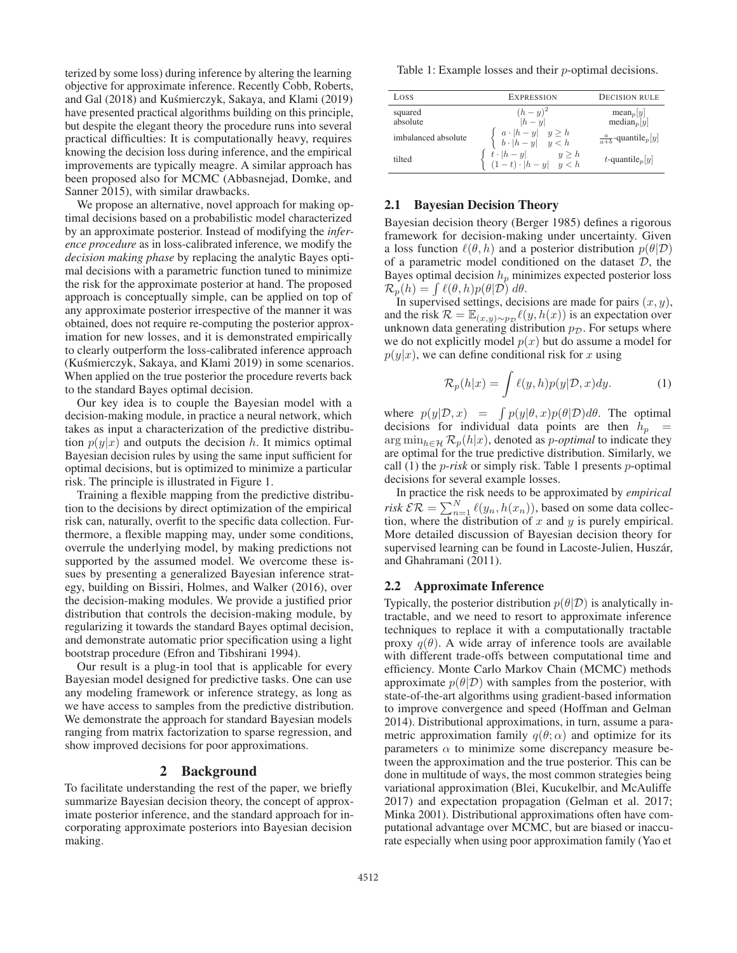terized by some loss) during inference by altering the learning objective for approximate inference. Recently Cobb, Roberts, and Gal (2018) and Kuśmierczyk, Sakaya, and Klami (2019) have presented practical algorithms building on this principle, but despite the elegant theory the procedure runs into several practical difficulties: It is computationally heavy, requires knowing the decision loss during inference, and the empirical improvements are typically meagre. A similar approach has been proposed also for MCMC (Abbasnejad, Domke, and Sanner 2015), with similar drawbacks.

We propose an alternative, novel approach for making optimal decisions based on a probabilistic model characterized by an approximate posterior. Instead of modifying the *inference procedure* as in loss-calibrated inference, we modify the *decision making phase* by replacing the analytic Bayes optimal decisions with a parametric function tuned to minimize the risk for the approximate posterior at hand. The proposed approach is conceptually simple, can be applied on top of any approximate posterior irrespective of the manner it was obtained, does not require re-computing the posterior approximation for new losses, and it is demonstrated empirically to clearly outperform the loss-calibrated inference approach (Kuśmierczyk, Sakaya, and Klami 2019) in some scenarios. When applied on the true posterior the procedure reverts back to the standard Bayes optimal decision.

Our key idea is to couple the Bayesian model with a decision-making module, in practice a neural network, which takes as input a characterization of the predictive distribution  $p(y|x)$  and outputs the decision h. It mimics optimal Bayesian decision rules by using the same input sufficient for optimal decisions, but is optimized to minimize a particular risk. The principle is illustrated in Figure 1.

Training a flexible mapping from the predictive distribution to the decisions by direct optimization of the empirical risk can, naturally, overfit to the specific data collection. Furthermore, a flexible mapping may, under some conditions, overrule the underlying model, by making predictions not supported by the assumed model. We overcome these issues by presenting a generalized Bayesian inference strategy, building on Bissiri, Holmes, and Walker (2016), over the decision-making modules. We provide a justified prior distribution that controls the decision-making module, by regularizing it towards the standard Bayes optimal decision, and demonstrate automatic prior specification using a light bootstrap procedure (Efron and Tibshirani 1994).

Our result is a plug-in tool that is applicable for every Bayesian model designed for predictive tasks. One can use any modeling framework or inference strategy, as long as we have access to samples from the predictive distribution. We demonstrate the approach for standard Bayesian models ranging from matrix factorization to sparse regression, and show improved decisions for poor approximations.

# 2 Background

To facilitate understanding the rest of the paper, we briefly summarize Bayesian decision theory, the concept of approximate posterior inference, and the standard approach for incorporating approximate posteriors into Bayesian decision making.

Table 1: Example losses and their p-optimal decisions.

| Loss                | <b>EXPRESSION</b>                                                                           | <b>DECISION RULE</b>                       |
|---------------------|---------------------------------------------------------------------------------------------|--------------------------------------------|
| squared<br>absolute | $(h - y)^2$<br>$ h - u $                                                                    | $\text{mean}_p  y $<br>$median_p[y]$       |
| imbalanced absolute | $\left\{ \begin{array}{ll} a\cdot h-y  & y\geq h\\ b\cdot h-y  & y < h \end{array} \right.$ | $\frac{a}{a+b}$ -quantile <sub>p</sub> [y] |
| tilted              | $\left\{\begin{array}{ll} t\cdot h-y &y\geq h\\ (1-t)\cdot h-y &y$                          | t-quantile <sub>p</sub> [y]                |

## 2.1 Bayesian Decision Theory

Bayesian decision theory (Berger 1985) defines a rigorous framework for decision-making under uncertainty. Given a loss function  $\ell(\theta, h)$  and a posterior distribution  $p(\theta|\mathcal{D})$ of a parametric model conditioned on the dataset  $D$ , the Bayes optimal decision  $h_n$  minimizes expected posterior loss  $\mathcal{R}_p(h) = \int \ell(\theta, h) p(\theta | \mathcal{D}) d\theta.$ 

In supervised settings, decisions are made for pairs  $(x, y)$ , and the risk  $\mathcal{R} = \mathbb{E}_{(x,y)\sim p_{\mathcal{D}}} \ell(y, h(x))$  is an expectation over unknown data generating distribution  $p_{\mathcal{D}}$ . For setups where we do not explicitly model  $p(x)$  but do assume a model for  $p(y|x)$ , we can define conditional risk for x using

$$
\mathcal{R}_p(h|x) = \int \ell(y,h)p(y|\mathcal{D},x)dy.
$$
 (1)

where  $p(y|\mathcal{D}, x) = \int p(y|\theta, x)p(\theta|\mathcal{D})d\theta$ . The optimal decisions for individual data points are then  $h_p =$ arg min<sub>h∈H</sub>  $\mathcal{R}_p(h|x)$ , denoted as *p-optimal* to indicate they are optimal for the true predictive distribution. Similarly, we call (1) the p*-risk* or simply risk. Table 1 presents p-optimal decisions for several example losses.

In practice the risk needs to be approximated by *empirical risk*  $\mathcal{ER} = \sum_{n=1}^{N} \ell(y_n, h(x_n))$ , based on some data collection where the distribution of x and y is purely empirical tion, where the distribution of  $x$  and  $y$  is purely empirical. More detailed discussion of Bayesian decision theory for supervised learning can be found in Lacoste-Julien, Huszár, and Ghahramani (2011).

#### 2.2 Approximate Inference

Typically, the posterior distribution  $p(\theta|\mathcal{D})$  is analytically intractable, and we need to resort to approximate inference techniques to replace it with a computationally tractable proxy  $q(\theta)$ . A wide array of inference tools are available with different trade-offs between computational time and efficiency. Monte Carlo Markov Chain (MCMC) methods approximate  $p(\theta|\mathcal{D})$  with samples from the posterior, with state-of-the-art algorithms using gradient-based information to improve convergence and speed (Hoffman and Gelman 2014). Distributional approximations, in turn, assume a parametric approximation family  $q(\theta; \alpha)$  and optimize for its parameters  $\alpha$  to minimize some discrepancy measure between the approximation and the true posterior. This can be done in multitude of ways, the most common strategies being variational approximation (Blei, Kucukelbir, and McAuliffe 2017) and expectation propagation (Gelman et al. 2017; Minka 2001). Distributional approximations often have computational advantage over MCMC, but are biased or inaccurate especially when using poor approximation family (Yao et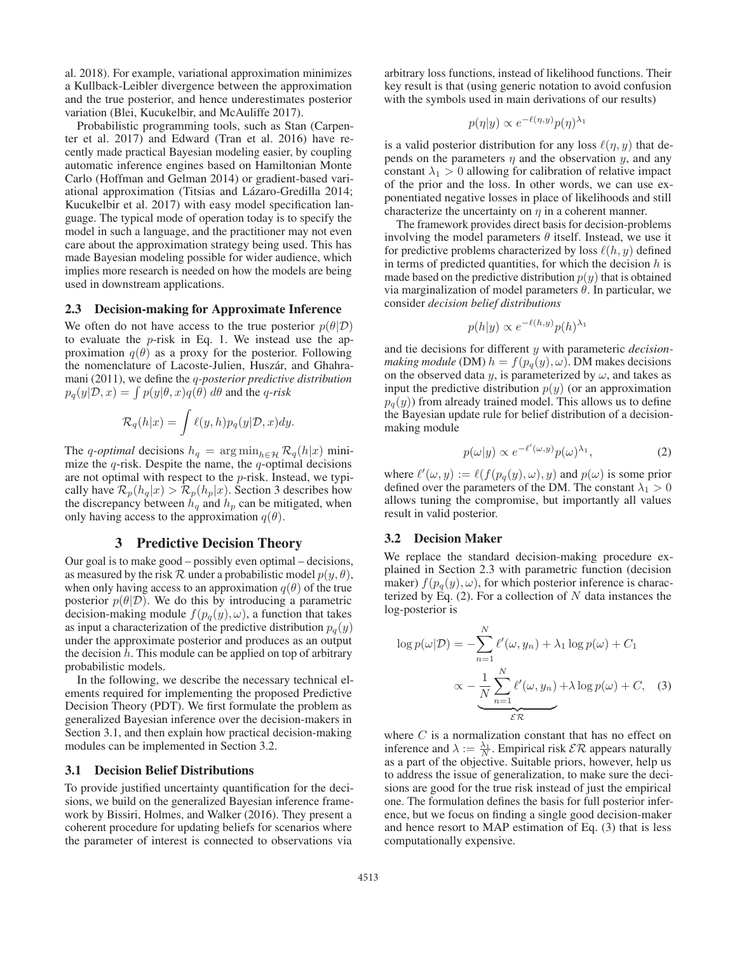al. 2018). For example, variational approximation minimizes a Kullback-Leibler divergence between the approximation and the true posterior, and hence underestimates posterior variation (Blei, Kucukelbir, and McAuliffe 2017).

Probabilistic programming tools, such as Stan (Carpenter et al. 2017) and Edward (Tran et al. 2016) have recently made practical Bayesian modeling easier, by coupling automatic inference engines based on Hamiltonian Monte Carlo (Hoffman and Gelman 2014) or gradient-based variational approximation (Titsias and Lázaro-Gredilla 2014; Kucukelbir et al. 2017) with easy model specification language. The typical mode of operation today is to specify the model in such a language, and the practitioner may not even care about the approximation strategy being used. This has made Bayesian modeling possible for wider audience, which implies more research is needed on how the models are being used in downstream applications.

#### 2.3 Decision-making for Approximate Inference

We often do not have access to the true posterior  $p(\theta|\mathcal{D})$ to evaluate the  $p$ -risk in Eq. 1. We instead use the approximation  $q(\theta)$  as a proxy for the posterior. Following the nomenclature of Lacoste-Julien, Huszár, and Ghahramani (2011), we define the q*-posterior predictive distribution*  $p_q(y|\mathcal{D}, x) = \int p(y|\theta, x)q(\theta) d\theta$  and the *q-risk* 

$$
\mathcal{R}_q(h|x) = \int \ell(y,h) p_q(y|\mathcal{D},x) dy.
$$

The q-optimal decisions  $h_q = \arg \min_{h \in \mathcal{H}} \mathcal{R}_q(h|x)$  minimize the  $q$ -risk. Despite the name, the  $q$ -optimal decisions are not optimal with respect to the p-risk. Instead, we typically have  $\mathcal{R}_p(h_q|x) > \mathcal{R}_p(h_p|x)$ . Section 3 describes how the discrepancy between  $h_q$  and  $h_p$  can be mitigated, when only having access to the approximation  $q(\theta)$ .

# 3 Predictive Decision Theory

Our goal is to make good – possibly even optimal – decisions, as measured by the risk R under a probabilistic model  $p(y, \theta)$ , when only having access to an approximation  $q(\theta)$  of the true posterior  $p(\theta|\mathcal{D})$ . We do this by introducing a parametric decision-making module  $f(p_q(y), \omega)$ , a function that takes as input a characterization of the predictive distribution  $p_q(y)$ under the approximate posterior and produces as an output the decision  $h$ . This module can be applied on top of arbitrary probabilistic models.

In the following, we describe the necessary technical elements required for implementing the proposed Predictive Decision Theory (PDT). We first formulate the problem as generalized Bayesian inference over the decision-makers in Section 3.1, and then explain how practical decision-making modules can be implemented in Section 3.2.

#### 3.1 Decision Belief Distributions

To provide justified uncertainty quantification for the decisions, we build on the generalized Bayesian inference framework by Bissiri, Holmes, and Walker (2016). They present a coherent procedure for updating beliefs for scenarios where the parameter of interest is connected to observations via

arbitrary loss functions, instead of likelihood functions. Their key result is that (using generic notation to avoid confusion with the symbols used in main derivations of our results)

$$
p(\eta|y) \propto e^{-\ell(\eta,y)} p(\eta)^{\lambda_1}
$$

is a valid posterior distribution for any loss  $\ell(\eta, y)$  that depends on the parameters  $\eta$  and the observation y, and any constant  $\lambda_1 > 0$  allowing for calibration of relative impact of the prior and the loss. In other words, we can use exponentiated negative losses in place of likelihoods and still characterize the uncertainty on  $\eta$  in a coherent manner.

The framework provides direct basis for decision-problems involving the model parameters  $\theta$  itself. Instead, we use it for predictive problems characterized by loss  $\ell(h, y)$  defined in terms of predicted quantities, for which the decision  $h$  is made based on the predictive distribution  $p(y)$  that is obtained via marginalization of model parameters θ. In particular, we consider *decision belief distributions*

$$
p(h|y) \propto e^{-\ell(h,y)} p(h)^{\lambda_1}
$$

and tie decisions for different y with parameteric *decisionmaking module* (DM)  $h = f(p_q(y), \omega)$ . DM makes decisions on the observed data y, is parameterized by  $\omega$ , and takes as input the predictive distribution  $p(y)$  (or an approximation  $p_q(y)$  from already trained model. This allows us to define the Bayesian update rule for belief distribution of a decisionmaking module

$$
p(\omega|y) \propto e^{-\ell'(\omega,y)} p(\omega)^{\lambda_1},\tag{2}
$$

where  $\ell'(\omega, y) := \ell(f(p_q(y), \omega), y)$  and  $p(\omega)$  is some prior defined over the parameters of the DM. The constant  $\lambda_1 > 0$ allows tuning the compromise, but importantly all values result in valid posterior.

#### 3.2 Decision Maker

We replace the standard decision-making procedure explained in Section 2.3 with parametric function (decision maker)  $f(p_q(y), \omega)$ , for which posterior inference is characterized by Eq.  $(2)$ . For a collection of N data instances the log-posterior is

$$
\log p(\omega|\mathcal{D}) = -\sum_{n=1}^{N} \ell'(\omega, y_n) + \lambda_1 \log p(\omega) + C_1
$$

$$
\propto -\underbrace{\frac{1}{N} \sum_{n=1}^{N} \ell'(\omega, y_n)}_{\mathcal{ER}} + \lambda \log p(\omega) + C, \quad (3)
$$

where  $C$  is a normalization constant that has no effect on inference and  $\lambda := \frac{\lambda_1}{N}$ . Empirical risk  $\mathcal{ER}$  appears naturally as a part of the objective. Suitable priors, however, help us to address the issue of generalization, to make sure the decisions are good for the true risk instead of just the empirical one. The formulation defines the basis for full posterior inference, but we focus on finding a single good decision-maker and hence resort to MAP estimation of Eq. (3) that is less computationally expensive.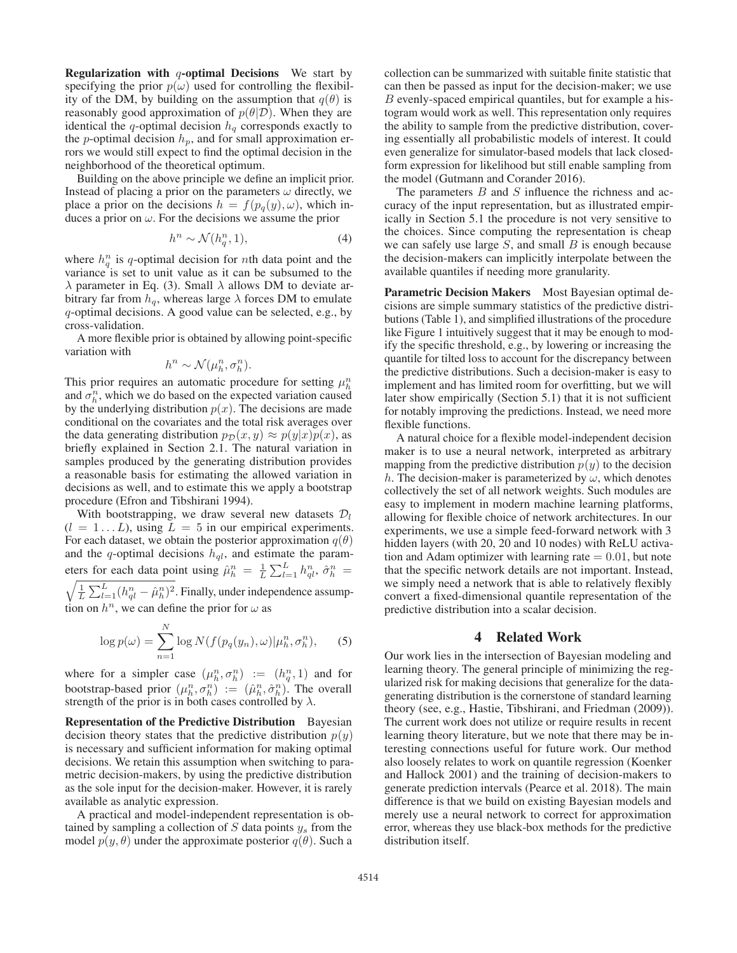**Regularization with**  $q$ **-optimal Decisions** We start by specifying the prior  $p(\omega)$  used for controlling the flexibility of the DM, by building on the assumption that  $q(\theta)$  is reasonably good approximation of  $p(\theta|\mathcal{D})$ . When they are identical the q-optimal decision  $h_q$  corresponds exactly to the *p*-optimal decision  $h_p$ , and for small approximation errors we would still expect to find the optimal decision in the neighborhood of the theoretical optimum.

Building on the above principle we define an implicit prior. Instead of placing a prior on the parameters  $\omega$  directly, we place a prior on the decisions  $h = f(p_q(y), \omega)$ , which induces a prior on  $\omega$ . For the decisions we assume the prior

$$
h^n \sim \mathcal{N}(h_q^n, 1),\tag{4}
$$

where  $h_q^n$  is q-optimal decision for nth data point and the variance is set to unit value as it can be subsumed to the  $\lambda$  parameter in Eq. (3). Small  $\lambda$  allows DM to deviate arbitrary far from  $h_q$ , whereas large  $\lambda$  forces DM to emulate q-optimal decisions. A good value can be selected, e.g., by cross-validation.

A more flexible prior is obtained by allowing point-specific variation with

$$
h^n \sim \mathcal{N}(\mu_h^n, \sigma_h^n).
$$

This prior requires an automatic procedure for setting  $\mu_h^n$ and  $\sigma_h^n$ , which we do based on the expected variation caused by the underlying distribution  $p(x)$ . The decisions are made conditional on the covariates and the total risk averages over the data generating distribution  $p_{\mathcal{D}}(x, y) \approx p(y|x)p(x)$ , as briefly explained in Section 2.1. The natural variation in samples produced by the generating distribution provides a reasonable basis for estimating the allowed variation in decisions as well, and to estimate this we apply a bootstrap procedure (Efron and Tibshirani 1994).

With bootstrapping, we draw several new datasets  $\mathcal{D}_l$  $(l = 1...L)$ , using  $L = 5$  in our empirical experiments. For each dataset, we obtain the posterior approximation  $q(\theta)$ and the q-optimal decisions  $h_{ql}$ , and estimate the parameters for each data point using  $\hat{\mu}_h^n = \frac{1}{L} \sum_{l=1}^L h_{ql}^n$ ,  $\hat{\sigma}_h^n =$ 

 $\sqrt{\frac{1}{L}\sum_{l=1}^{L}(h_{ql}^n - \hat{\mu}_h^n)^2}$ . Finally, under independence assumption on  $h^n$ , we can define the prior for  $\omega$  as

$$
\log p(\omega) = \sum_{n=1}^{N} \log N(f(p_q(y_n), \omega) | \mu_h^n, \sigma_h^n), \quad (5)
$$

where for a simpler case  $(\mu_h^n, \sigma_h^n) := (h_q^n, 1)$  and for bootstrap-based prior  $(\mu_h^n, \sigma_h^n) := (\hat{\mu}_h^n, \hat{\sigma}_h^n)$ . The overall strength of the prior is in both cases controlled by  $\lambda$ .

Representation of the Predictive Distribution Bayesian decision theory states that the predictive distribution  $p(y)$ is necessary and sufficient information for making optimal decisions. We retain this assumption when switching to parametric decision-makers, by using the predictive distribution as the sole input for the decision-maker. However, it is rarely available as analytic expression.

A practical and model-independent representation is obtained by sampling a collection of  $S$  data points  $y_s$  from the model  $p(y, \theta)$  under the approximate posterior  $q(\theta)$ . Such a

collection can be summarized with suitable finite statistic that can then be passed as input for the decision-maker; we use B evenly-spaced empirical quantiles, but for example a histogram would work as well. This representation only requires the ability to sample from the predictive distribution, covering essentially all probabilistic models of interest. It could even generalize for simulator-based models that lack closedform expression for likelihood but still enable sampling from the model (Gutmann and Corander 2016).

The parameters  $B$  and  $S$  influence the richness and accuracy of the input representation, but as illustrated empirically in Section 5.1 the procedure is not very sensitive to the choices. Since computing the representation is cheap we can safely use large  $S$ , and small  $B$  is enough because the decision-makers can implicitly interpolate between the available quantiles if needing more granularity.

Parametric Decision Makers Most Bayesian optimal decisions are simple summary statistics of the predictive distributions (Table 1), and simplified illustrations of the procedure like Figure 1 intuitively suggest that it may be enough to modify the specific threshold, e.g., by lowering or increasing the quantile for tilted loss to account for the discrepancy between the predictive distributions. Such a decision-maker is easy to implement and has limited room for overfitting, but we will later show empirically (Section 5.1) that it is not sufficient for notably improving the predictions. Instead, we need more flexible functions.

A natural choice for a flexible model-independent decision maker is to use a neural network, interpreted as arbitrary mapping from the predictive distribution  $p(y)$  to the decision h. The decision-maker is parameterized by  $\omega$ , which denotes collectively the set of all network weights. Such modules are easy to implement in modern machine learning platforms, allowing for flexible choice of network architectures. In our experiments, we use a simple feed-forward network with 3 hidden layers (with 20, 20 and 10 nodes) with ReLU activation and Adam optimizer with learning rate  $= 0.01$ , but note that the specific network details are not important. Instead, we simply need a network that is able to relatively flexibly convert a fixed-dimensional quantile representation of the predictive distribution into a scalar decision.

## 4 Related Work

Our work lies in the intersection of Bayesian modeling and learning theory. The general principle of minimizing the regularized risk for making decisions that generalize for the datagenerating distribution is the cornerstone of standard learning theory (see, e.g., Hastie, Tibshirani, and Friedman (2009)). The current work does not utilize or require results in recent learning theory literature, but we note that there may be interesting connections useful for future work. Our method also loosely relates to work on quantile regression (Koenker and Hallock 2001) and the training of decision-makers to generate prediction intervals (Pearce et al. 2018). The main difference is that we build on existing Bayesian models and merely use a neural network to correct for approximation error, whereas they use black-box methods for the predictive distribution itself.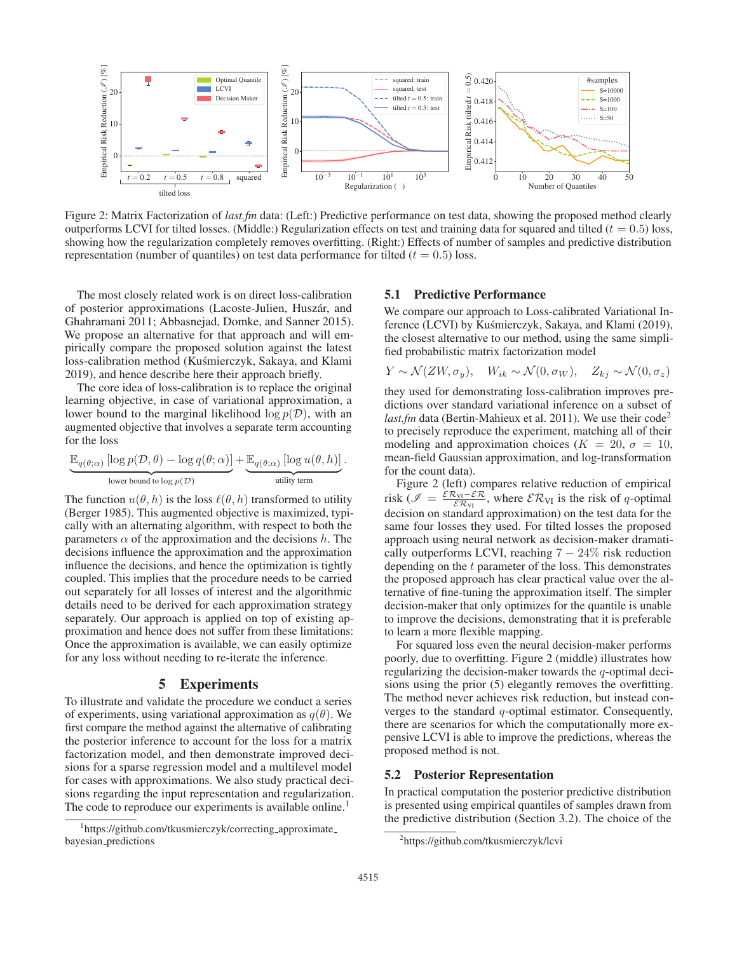

Figure 2: Matrix Factorization of *last.fm* data: (Left:) Predictive performance on test data, showing the proposed method clearly outperforms LCVI for tilted losses. (Middle:) Regularization effects on test and training data for squared and tilted ( $t = 0.5$ ) loss, showing how the regularization completely removes overfitting. (Right:) Effects of number of samples and predictive distribution representation (number of quantiles) on test data performance for tilted ( $t = 0.5$ ) loss.

The most closely related work is on direct loss-calibration of posterior approximations (Lacoste-Julien, Huszár, and Ghahramani 2011; Abbasnejad, Domke, and Sanner 2015). We propose an alternative for that approach and will empirically compare the proposed solution against the latest loss-calibration method (Kuśmierczyk, Sakaya, and Klami 2019), and hence describe here their approach briefly.

The core idea of loss-calibration is to replace the original learning objective, in case of variational approximation, a lower bound to the marginal likelihood  $\log p(\mathcal{D})$ , with an augmented objective that involves a separate term accounting for the loss

$$
\underbrace{\mathbb{E}_{q(\theta; \alpha)} \left[ \log p(\mathcal{D}, \theta) - \log q(\theta; \alpha) \right]}_{\text{lower bound to } \log p(\mathcal{D})} + \underbrace{\mathbb{E}_{q(\theta; \alpha)} \left[ \log u(\theta, h) \right]}_{\text{utility term}}.
$$

The function  $u(\theta, h)$  is the loss  $\ell(\theta, h)$  transformed to utility (Berger 1985). This augmented objective is maximized, typically with an alternating algorithm, with respect to both the parameters  $\alpha$  of the approximation and the decisions h. The decisions influence the approximation and the approximation influence the decisions, and hence the optimization is tightly coupled. This implies that the procedure needs to be carried out separately for all losses of interest and the algorithmic details need to be derived for each approximation strategy separately. Our approach is applied on top of existing approximation and hence does not suffer from these limitations: Once the approximation is available, we can easily optimize for any loss without needing to re-iterate the inference.

# 5 Experiments

To illustrate and validate the procedure we conduct a series of experiments, using variational approximation as  $q(\theta)$ . We first compare the method against the alternative of calibrating the posterior inference to account for the loss for a matrix factorization model, and then demonstrate improved decisions for a sparse regression model and a multilevel model for cases with approximations. We also study practical decisions regarding the input representation and regularization. The code to reproduce our experiments is available online.<sup>1</sup>

## 5.1 Predictive Performance

We compare our approach to Loss-calibrated Variational Inference (LCVI) by Kuśmierczyk, Sakaya, and Klami (2019), the closest alternative to our method, using the same simplified probabilistic matrix factorization model

$$
Y \sim \mathcal{N}(ZW, \sigma_y), \quad W_{ik} \sim \mathcal{N}(0, \sigma_W), \quad Z_{kj} \sim \mathcal{N}(0, \sigma_z)
$$

they used for demonstrating loss-calibration improves predictions over standard variational inference on a subset of *last.fm* data (Bertin-Mahieux et al. 2011). We use their code<sup>2</sup> to precisely reproduce the experiment, matching all of their modeling and approximation choices ( $K = 20$ ,  $\sigma = 10$ , mean-field Gaussian approximation, and log-transformation for the count data).

Figure 2 (left) compares relative reduction of empirical risk ( $\mathcal{I} = \frac{\varepsilon \mathcal{R}_{VI} - \varepsilon \mathcal{R}}{\varepsilon \mathcal{R}_{VI}}$ , where  $\mathcal{E} \mathcal{R}_{VI}$  is the risk of q-optimal decision on standard approximation) on the test data for the same four losses they used. For tilted losses the proposed approach using neural network as decision-maker dramatically outperforms LCVI, reaching  $7 - 24\%$  risk reduction depending on the t parameter of the loss. This demonstrates the proposed approach has clear practical value over the alternative of fine-tuning the approximation itself. The simpler decision-maker that only optimizes for the quantile is unable to improve the decisions, demonstrating that it is preferable to learn a more flexible mapping.

For squared loss even the neural decision-maker performs poorly, due to overfitting. Figure 2 (middle) illustrates how regularizing the decision-maker towards the  $q$ -optimal decisions using the prior (5) elegantly removes the overfitting. The method never achieves risk reduction, but instead converges to the standard q-optimal estimator. Consequently, there are scenarios for which the computationally more expensive LCVI is able to improve the predictions, whereas the proposed method is not.

### 5.2 Posterior Representation

In practical computation the posterior predictive distribution is presented using empirical quantiles of samples drawn from the predictive distribution (Section 3.2). The choice of the

<sup>1</sup> https://github.com/tkusmierczyk/correcting approximate bayesian predictions

<sup>2</sup> https://github.com/tkusmierczyk/lcvi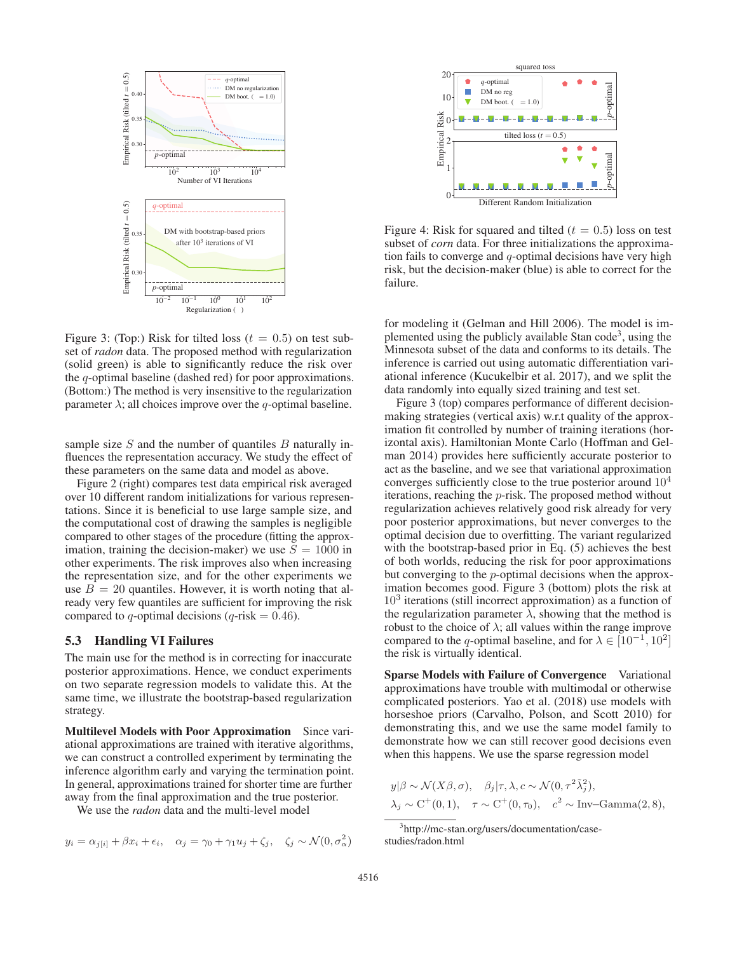

Figure 3: (Top:) Risk for tilted loss ( $t = 0.5$ ) on test subset of *radon* data. The proposed method with regularization (solid green) is able to significantly reduce the risk over the q-optimal baseline (dashed red) for poor approximations. (Bottom:) The method is very insensitive to the regularization parameter  $\lambda$ ; all choices improve over the q-optimal baseline.

sample size  $S$  and the number of quantiles  $B$  naturally influences the representation accuracy. We study the effect of these parameters on the same data and model as above.

Figure 2 (right) compares test data empirical risk averaged over 10 different random initializations for various representations. Since it is beneficial to use large sample size, and the computational cost of drawing the samples is negligible compared to other stages of the procedure (fitting the approximation, training the decision-maker) we use  $S = 1000$  in other experiments. The risk improves also when increasing the representation size, and for the other experiments we use  $B = 20$  quantiles. However, it is worth noting that already very few quantiles are sufficient for improving the risk compared to q-optimal decisions (q-risk =  $0.46$ ).

## 5.3 Handling VI Failures

The main use for the method is in correcting for inaccurate posterior approximations. Hence, we conduct experiments on two separate regression models to validate this. At the same time, we illustrate the bootstrap-based regularization strategy.

Multilevel Models with Poor Approximation Since variational approximations are trained with iterative algorithms, we can construct a controlled experiment by terminating the inference algorithm early and varying the termination point. In general, approximations trained for shorter time are further away from the final approximation and the true posterior.

We use the *radon* data and the multi-level model

$$
y_i = \alpha_{j[i]} + \beta x_i + \epsilon_i, \quad \alpha_j = \gamma_0 + \gamma_1 u_j + \zeta_j, \quad \zeta_j \sim \mathcal{N}(0, \sigma_\alpha^2)
$$



Figure 4: Risk for squared and tilted ( $t = 0.5$ ) loss on test subset of *corn* data. For three initializations the approximation fails to converge and  $q$ -optimal decisions have very high risk, but the decision-maker (blue) is able to correct for the failure.

for modeling it (Gelman and Hill 2006). The model is implemented using the publicly available Stan code<sup>3</sup>, using the Minnesota subset of the data and conforms to its details. The inference is carried out using automatic differentiation variational inference (Kucukelbir et al. 2017), and we split the data randomly into equally sized training and test set.

Figure 3 (top) compares performance of different decisionmaking strategies (vertical axis) w.r.t quality of the approximation fit controlled by number of training iterations (horizontal axis). Hamiltonian Monte Carlo (Hoffman and Gelman 2014) provides here sufficiently accurate posterior to act as the baseline, and we see that variational approximation converges sufficiently close to the true posterior around  $10<sup>4</sup>$ iterations, reaching the p-risk. The proposed method without regularization achieves relatively good risk already for very poor posterior approximations, but never converges to the optimal decision due to overfitting. The variant regularized with the bootstrap-based prior in Eq. (5) achieves the best of both worlds, reducing the risk for poor approximations but converging to the p-optimal decisions when the approximation becomes good. Figure 3 (bottom) plots the risk at  $10<sup>3</sup>$  iterations (still incorrect approximation) as a function of the regularization parameter  $\lambda$ , showing that the method is robust to the choice of  $\lambda$ ; all values within the range improve compared to the q-optimal baseline, and for  $\lambda \in [10^{-1}, 10^2]$ the risk is virtually identical.

Sparse Models with Failure of Convergence Variational approximations have trouble with multimodal or otherwise complicated posteriors. Yao et al. (2018) use models with horseshoe priors (Carvalho, Polson, and Scott 2010) for demonstrating this, and we use the same model family to demonstrate how we can still recover good decisions even when this happens. We use the sparse regression model

$$
y|\beta \sim \mathcal{N}(X\beta, \sigma), \quad \beta_j|\tau, \lambda, c \sim \mathcal{N}(0, \tau^2 \tilde{\lambda}_j^2),
$$
  

$$
\lambda_j \sim C^+(0, 1), \quad \tau \sim C^+(0, \tau_0), \quad c^2 \sim \text{Inv-Gamma}(2, 8),
$$

 $\sim$  2  $\sim$ 

<sup>3</sup> http://mc-stan.org/users/documentation/casestudies/radon.html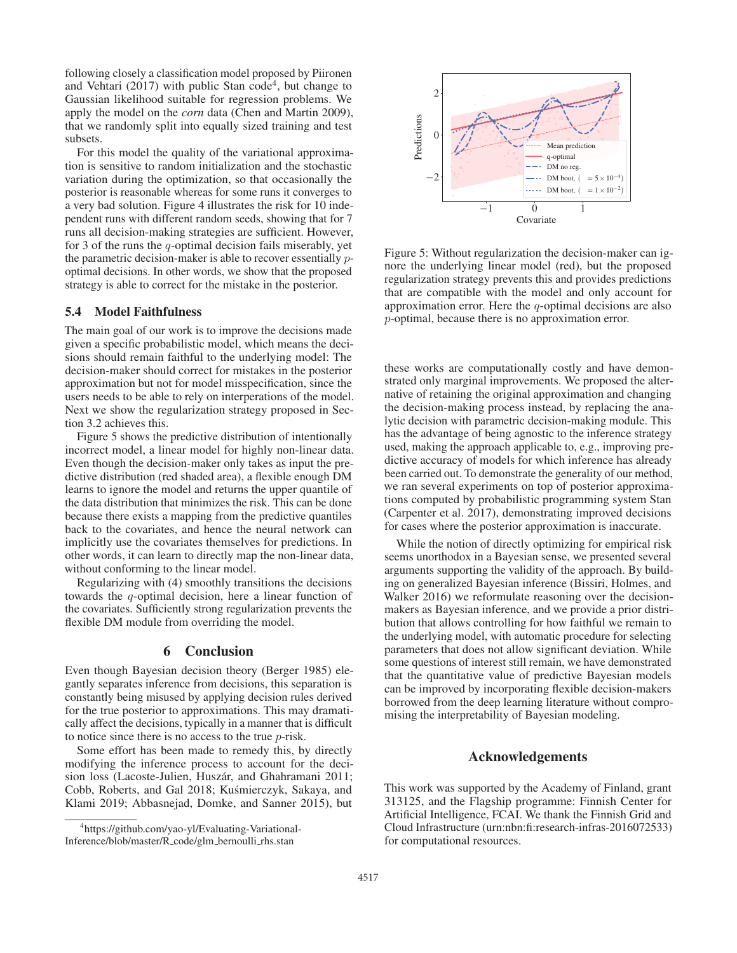following closely a classification model proposed by Piironen and Vehtari (2017) with public Stan code<sup>4</sup>, but change to Gaussian likelihood suitable for regression problems. We apply the model on the *corn* data (Chen and Martin 2009), that we randomly split into equally sized training and test subsets.

For this model the quality of the variational approximation is sensitive to random initialization and the stochastic variation during the optimization, so that occasionally the posterior is reasonable whereas for some runs it converges to a very bad solution. Figure 4 illustrates the risk for 10 independent runs with different random seeds, showing that for 7 runs all decision-making strategies are sufficient. However, for 3 of the runs the  $q$ -optimal decision fails miserably, yet the parametric decision-maker is able to recover essentially poptimal decisions. In other words, we show that the proposed strategy is able to correct for the mistake in the posterior.

# 5.4 Model Faithfulness

The main goal of our work is to improve the decisions made given a specific probabilistic model, which means the decisions should remain faithful to the underlying model: The decision-maker should correct for mistakes in the posterior approximation but not for model misspecification, since the users needs to be able to rely on interperations of the model. Next we show the regularization strategy proposed in Section 3.2 achieves this.

Figure 5 shows the predictive distribution of intentionally incorrect model, a linear model for highly non-linear data. Even though the decision-maker only takes as input the predictive distribution (red shaded area), a flexible enough DM learns to ignore the model and returns the upper quantile of the data distribution that minimizes the risk. This can be done because there exists a mapping from the predictive quantiles back to the covariates, and hence the neural network can implicitly use the covariates themselves for predictions. In other words, it can learn to directly map the non-linear data, without conforming to the linear model.

Regularizing with (4) smoothly transitions the decisions towards the q-optimal decision, here a linear function of the covariates. Sufficiently strong regularization prevents the flexible DM module from overriding the model.

## 6 Conclusion

Even though Bayesian decision theory (Berger 1985) elegantly separates inference from decisions, this separation is constantly being misused by applying decision rules derived for the true posterior to approximations. This may dramatically affect the decisions, typically in a manner that is difficult to notice since there is no access to the true p-risk.

Some effort has been made to remedy this, by directly modifying the inference process to account for the decision loss (Lacoste-Julien, Huszár, and Ghahramani 2011; Cobb, Roberts, and Gal 2018; Kuśmierczyk, Sakaya, and Klami 2019; Abbasnejad, Domke, and Sanner 2015), but



Figure 5: Without regularization the decision-maker can ignore the underlying linear model (red), but the proposed regularization strategy prevents this and provides predictions that are compatible with the model and only account for approximation error. Here the q-optimal decisions are also p-optimal, because there is no approximation error.

these works are computationally costly and have demonstrated only marginal improvements. We proposed the alternative of retaining the original approximation and changing the decision-making process instead, by replacing the analytic decision with parametric decision-making module. This has the advantage of being agnostic to the inference strategy used, making the approach applicable to, e.g., improving predictive accuracy of models for which inference has already been carried out. To demonstrate the generality of our method, we ran several experiments on top of posterior approximations computed by probabilistic programming system Stan (Carpenter et al. 2017), demonstrating improved decisions for cases where the posterior approximation is inaccurate.

While the notion of directly optimizing for empirical risk seems unorthodox in a Bayesian sense, we presented several arguments supporting the validity of the approach. By building on generalized Bayesian inference (Bissiri, Holmes, and Walker 2016) we reformulate reasoning over the decisionmakers as Bayesian inference, and we provide a prior distribution that allows controlling for how faithful we remain to the underlying model, with automatic procedure for selecting parameters that does not allow significant deviation. While some questions of interest still remain, we have demonstrated that the quantitative value of predictive Bayesian models can be improved by incorporating flexible decision-makers borrowed from the deep learning literature without compromising the interpretability of Bayesian modeling.

## Acknowledgements

This work was supported by the Academy of Finland, grant 313125, and the Flagship programme: Finnish Center for Artificial Intelligence, FCAI. We thank the Finnish Grid and Cloud Infrastructure (urn:nbn:fi:research-infras-2016072533) for computational resources.

<sup>2</sup> Predictions Predictions 0 Mean predictio q-optimal DM no reg −2 DM boot. ( =  $5 \times 10^{-4}$ DM boot.  $( = 1 \times 10^{-2}$  $-1$  0 1 Covariate